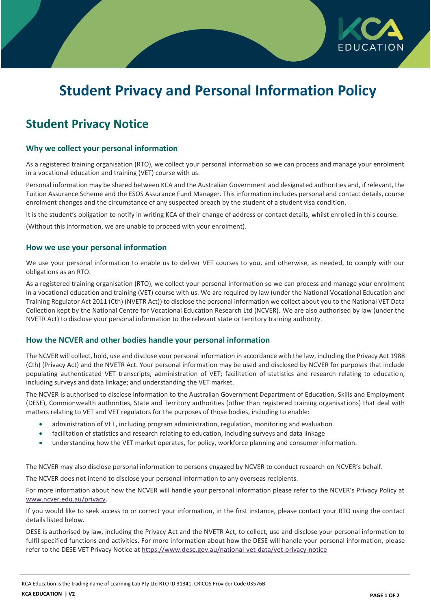

# **Student Privacy and Personal Information Policy**

# **Student Privacy Notice**

## **Why we collect your personal information**

As a registered training organisation (RTO), we collect your personal information so we can process and manage your enrolment in a vocational education and training (VET) course with us.

Personal information may be shared between KCA and the Australian Government and designated authorities and, if relevant, the Tuition Assurance Scheme and the ESOS Assurance Fund Manager. This information includes personal and contact details, course enrolment changes and the circumstance of any suspected breach by the student of a student visa condition.

It is the student's obligation to notify in writing KCA of their change of address or contact details, whilst enrolled in this course.

(Without this information, we are unable to proceed with your enrolment).

#### **How we use your personal information**

We use your personal information to enable us to deliver VET courses to you, and otherwise, as needed, to comply with our obligations as an RTO.

As a registered training organisation (RTO), we collect your personal information so we can process and manage your enrolment in a vocational education and training (VET) course with us. We are required by law (under the National Vocational Education and Training Regulator Act 2011 (Cth) (NVETR Act)) to disclose the personal information we collect about you to the National VET Data Collection kept by the National Centre for Vocational Education Research Ltd (NCVER). We are also authorised by law (under the NVETR Act) to disclose your personal information to the relevant state or territory training authority.

#### **How the NCVER and other bodies handle your personal information**

The NCVER will collect, hold, use and disclose your personal information in accordance with the law, including the Privacy Act 1988 (Cth) (Privacy Act) and the NVETR Act. Your personal information may be used and disclosed by NCVER for purposes that include populating authenticated VET transcripts; administration of VET; facilitation of statistics and research relating to education, including surveys and data linkage; and understanding the VET market.

The NCVER is authorised to disclose information to the Australian Government Department of Education, Skills and Employment (DESE), Commonwealth authorities, State and Territory authorities (other than registered training organisations) that deal with matters relating to VET and VET regulators for the purposes of those bodies, including to enable:

- administration of VET, including program administration, regulation, monitoring and evaluation
- facilitation of statistics and research relating to education, including surveys and data linkage
- understanding how the VET market operates, for policy, workforce planning and consumer information.

The NCVER may also disclose personal information to persons engaged by NCVER to conduct research on NCVER's behalf.

The NCVER does not intend to disclose your personal information to any overseas recipients.

For more information about how the NCVER will handle your personal information please refer to the NCVER's Privacy Policy at [www.ncver.edu.au/privacy.](http://www.ncver.edu.au/privacy)

If you would like to seek access to or correct your information, in the first instance, please contact your RTO using the contact details listed below.

DESE is authorised by law, including the Privacy Act and the NVETR Act, to collect, use and disclose your personal information to fulfil specified functions and activities. For more information about how the DESE will handle your personal information, please refer to the DESE VET Privacy Notice at<https://www.dese.gov.au/national-vet-data/vet-privacy-notice>